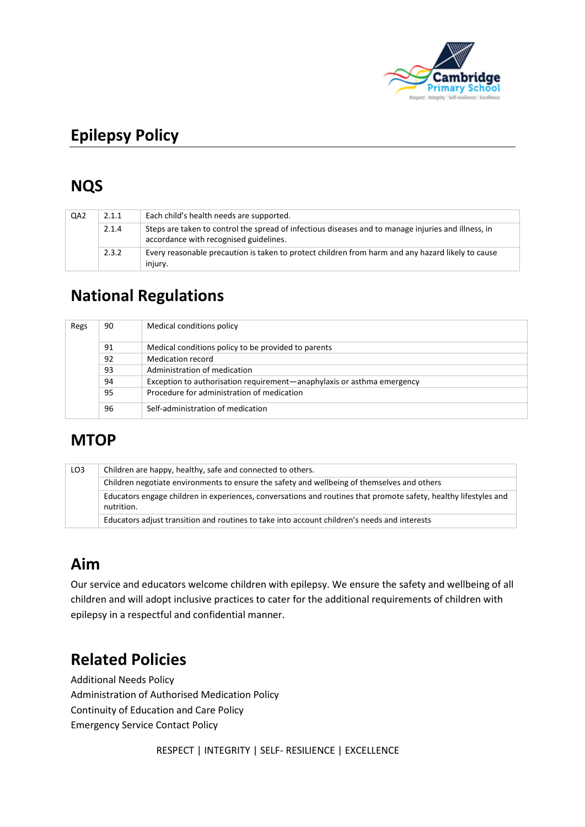

# **Epilepsy Policy**

## **NQS**

| QA2 | 2.1.1 | Each child's health needs are supported.                                                                                                      |
|-----|-------|-----------------------------------------------------------------------------------------------------------------------------------------------|
|     | 2.1.4 | Steps are taken to control the spread of infectious diseases and to manage injuries and illness, in<br>accordance with recognised guidelines. |
|     | 2.3.2 | Every reasonable precaution is taken to protect children from harm and any hazard likely to cause<br>injury.                                  |

# **National Regulations**

| Regs | 90 | Medical conditions policy                                              |
|------|----|------------------------------------------------------------------------|
|      | 91 | Medical conditions policy to be provided to parents                    |
|      | 92 | Medication record                                                      |
|      | 93 | Administration of medication                                           |
|      | 94 | Exception to authorisation requirement—anaphylaxis or asthma emergency |
|      | 95 | Procedure for administration of medication                             |
|      | 96 | Self-administration of medication                                      |

### **MTOP**

| LO <sub>3</sub> | Children are happy, healthy, safe and connected to others.                                                                     |  |  |  |
|-----------------|--------------------------------------------------------------------------------------------------------------------------------|--|--|--|
|                 | Children negotiate environments to ensure the safety and wellbeing of themselves and others                                    |  |  |  |
|                 | Educators engage children in experiences, conversations and routines that promote safety, healthy lifestyles and<br>nutrition. |  |  |  |
|                 | Educators adjust transition and routines to take into account children's needs and interests                                   |  |  |  |

# **Aim**

Our service and educators welcome children with epilepsy. We ensure the safety and wellbeing of all children and will adopt inclusive practices to cater for the additional requirements of children with epilepsy in a respectful and confidential manner.

# **Related Policies**

Additional Needs Policy Administration of Authorised Medication Policy Continuity of Education and Care Policy Emergency Service Contact Policy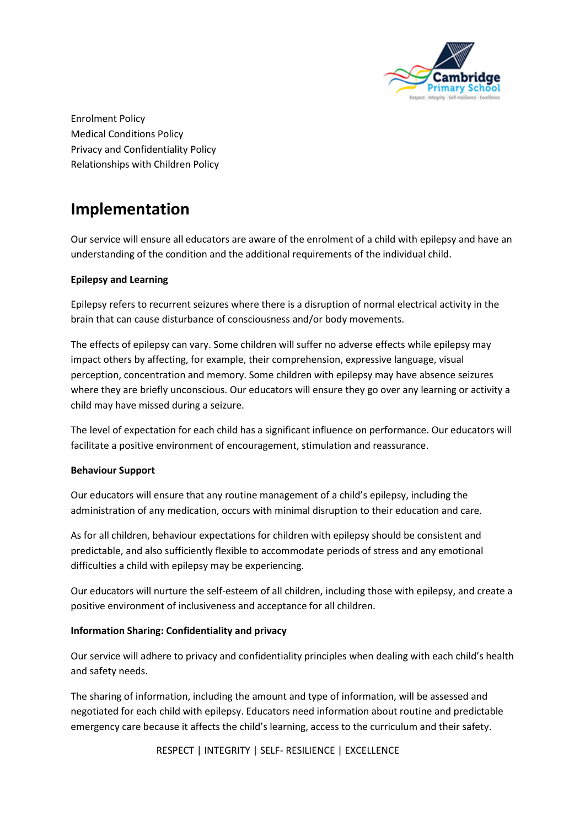

Enrolment Policy Medical Conditions Policy Privacy and Confidentiality Policy Relationships with Children Policy

### **Implementation**

Our service will ensure all educators are aware of the enrolment of a child with epilepsy and have an understanding of the condition and the additional requirements of the individual child.

#### **Epilepsy and Learning**

Epilepsy refers to recurrent seizures where there is a disruption of normal electrical activity in the brain that can cause disturbance of consciousness and/or body movements.

The effects of epilepsy can vary. Some children will suffer no adverse effects while epilepsy may impact others by affecting, for example, their comprehension, expressive language, visual perception, concentration and memory. Some children with epilepsy may have absence seizures where they are briefly unconscious. Our educators will ensure they go over any learning or activity a child may have missed during a seizure.

The level of expectation for each child has a significant influence on performance. Our educators will facilitate a positive environment of encouragement, stimulation and reassurance.

#### **Behaviour Support**

Our educators will ensure that any routine management of a child's epilepsy, including the administration of any medication, occurs with minimal disruption to their education and care.

As for all children, behaviour expectations for children with epilepsy should be consistent and predictable, and also sufficiently flexible to accommodate periods of stress and any emotional difficulties a child with epilepsy may be experiencing.

Our educators will nurture the self-esteem of all children, including those with epilepsy, and create a positive environment of inclusiveness and acceptance for all children.

#### **Information Sharing: Confidentiality and privacy**

Our service will adhere to privacy and confidentiality principles when dealing with each child's health and safety needs.

The sharing of information, including the amount and type of information, will be assessed and negotiated for each child with epilepsy. Educators need information about routine and predictable emergency care because it affects the child's learning, access to the curriculum and their safety.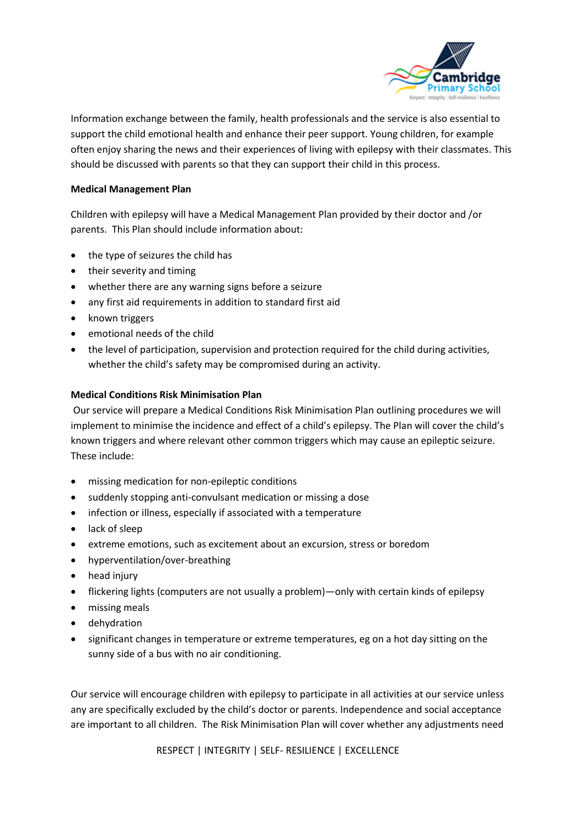

Information exchange between the family, health professionals and the service is also essential to support the child emotional health and enhance their peer support. Young children, for example often enjoy sharing the news and their experiences of living with epilepsy with their classmates. This should be discussed with parents so that they can support their child in this process.

#### **Medical Management Plan**

Children with epilepsy will have a Medical Management Plan provided by their doctor and /or parents. This Plan should include information about:

- the type of seizures the child has
- their severity and timing
- whether there are any warning signs before a seizure
- any first aid requirements in addition to standard first aid
- known triggers
- emotional needs of the child
- the level of participation, supervision and protection required for the child during activities, whether the child's safety may be compromised during an activity.

#### **Medical Conditions Risk Minimisation Plan**

Our service will prepare a Medical Conditions Risk Minimisation Plan outlining procedures we will implement to minimise the incidence and effect of a child's epilepsy. The Plan will cover the child's known triggers and where relevant other common triggers which may cause an epileptic seizure. These include:

- missing medication for non-epileptic conditions
- suddenly stopping anti-convulsant medication or missing a dose
- infection or illness, especially if associated with a temperature
- lack of sleep
- extreme emotions, such as excitement about an excursion, stress or boredom
- hyperventilation/over-breathing
- head injury
- flickering lights (computers are not usually a problem)—only with certain kinds of epilepsy
- missing meals
- dehydration
- significant changes in temperature or extreme temperatures, eg on a hot day sitting on the sunny side of a bus with no air conditioning.

Our service will encourage children with epilepsy to participate in all activities at our service unless any are specifically excluded by the child's doctor or parents. Independence and social acceptance are important to all children. The Risk Minimisation Plan will cover whether any adjustments need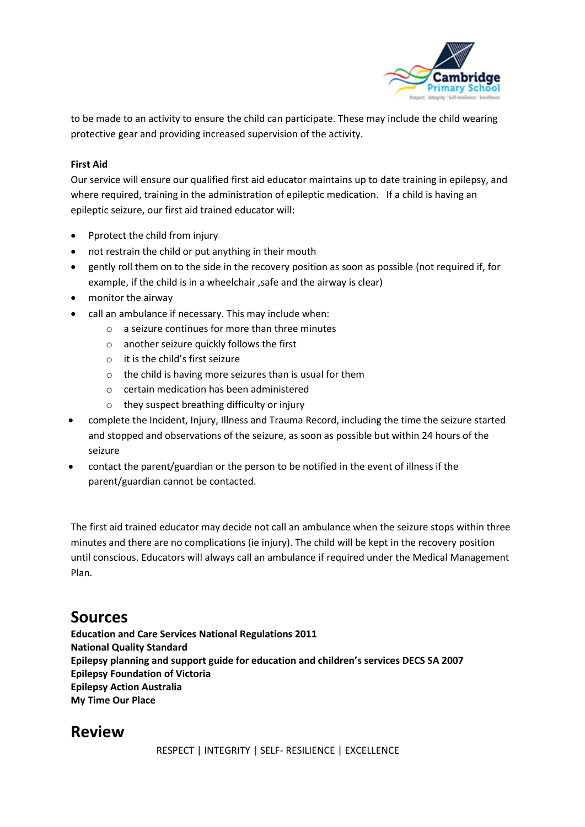

to be made to an activity to ensure the child can participate. These may include the child wearing protective gear and providing increased supervision of the activity.

#### **First Aid**

Our service will ensure our qualified first aid educator maintains up to date training in epilepsy, and where required, training in the administration of epileptic medication. If a child is having an epileptic seizure, our first aid trained educator will:

- Pprotect the child from injury
- not restrain the child or put anything in their mouth
- gently roll them on to the side in the recovery position as soon as possible (not required if, for example, if the child is in a wheelchair , safe and the airway is clear)
- monitor the airway
- call an ambulance if necessary. This may include when:
	- $\circ$  a seizure continues for more than three minutes
	- o another seizure quickly follows the first
	- o it is the child's first seizure
	- $\circ$  the child is having more seizures than is usual for them
	- o certain medication has been administered
	- $\circ$  they suspect breathing difficulty or injury
- complete the Incident, Injury, Illness and Trauma Record, including the time the seizure started and stopped and observations of the seizure, as soon as possible but within 24 hours of the seizure
- contact the parent/guardian or the person to be notified in the event of illness if the parent/guardian cannot be contacted.

The first aid trained educator may decide not call an ambulance when the seizure stops within three minutes and there are no complications (ie injury). The child will be kept in the recovery position until conscious. Educators will always call an ambulance if required under the Medical Management Plan.

### **Sources**

**Education and Care Services National Regulations 2011 National Quality Standard Epilepsy planning and support guide for education and children's services DECS SA 2007 Epilepsy Foundation of Victoria Epilepsy Action Australia My Time Our Place**

### **Review**